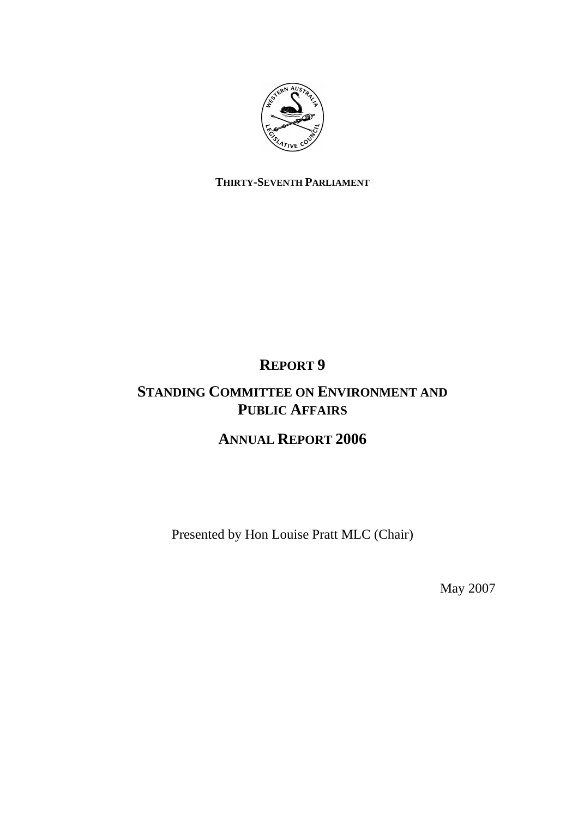

## **THIRTY-SEVENTH PARLIAMENT**

# **REPORT 9**

## **STANDING COMMITTEE ON ENVIRONMENT AND PUBLIC AFFAIRS**

## **ANNUAL REPORT 2006**

Presented by Hon Louise Pratt MLC (Chair)

May 2007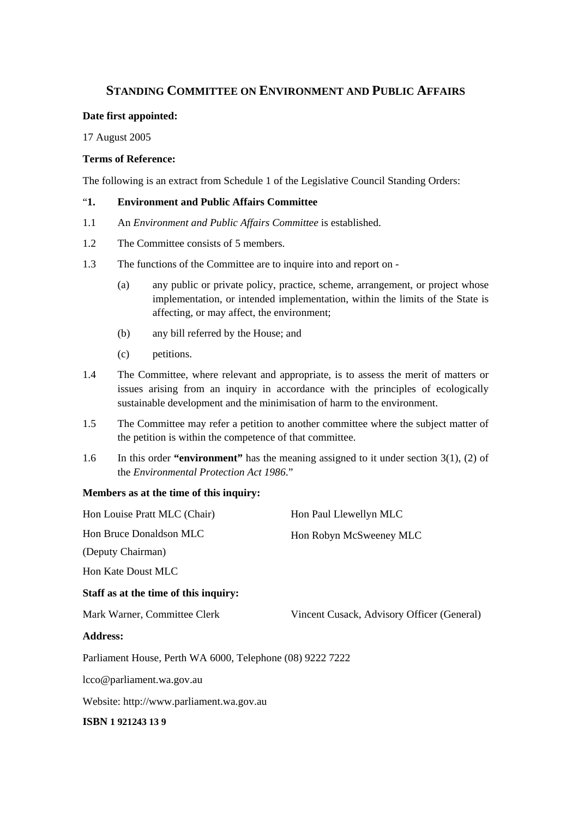## **STANDING COMMITTEE ON ENVIRONMENT AND PUBLIC AFFAIRS**

#### **Date first appointed:**

17 August 2005

#### **Terms of Reference:**

The following is an extract from Schedule 1 of the Legislative Council Standing Orders:

#### "**1. Environment and Public Affairs Committee**

- 1.1 An *Environment and Public Affairs Committee* is established.
- 1.2 The Committee consists of 5 members.
- 1.3 The functions of the Committee are to inquire into and report on
	- (a) any public or private policy, practice, scheme, arrangement, or project whose implementation, or intended implementation, within the limits of the State is affecting, or may affect, the environment;
	- (b) any bill referred by the House; and
	- (c) petitions.
- 1.4 The Committee, where relevant and appropriate, is to assess the merit of matters or issues arising from an inquiry in accordance with the principles of ecologically sustainable development and the minimisation of harm to the environment.
- 1.5 The Committee may refer a petition to another committee where the subject matter of the petition is within the competence of that committee.
- 1.6 In this order **"environment"** has the meaning assigned to it under section 3(1), (2) of the *Environmental Protection Act 1986*."

### **Members as at the time of this inquiry:**

| Hon Louise Pratt MLC (Chair)                              | Hon Paul Llewellyn MLC                     |  |
|-----------------------------------------------------------|--------------------------------------------|--|
| Hon Bruce Donaldson MLC                                   | Hon Robyn McSweeney MLC                    |  |
| (Deputy Chairman)                                         |                                            |  |
| Hon Kate Doust MLC                                        |                                            |  |
| Staff as at the time of this inquiry:                     |                                            |  |
| Mark Warner, Committee Clerk                              | Vincent Cusack, Advisory Officer (General) |  |
| <b>Address:</b>                                           |                                            |  |
| Parliament House, Perth WA 6000, Telephone (08) 9222 7222 |                                            |  |
| lcco@parliament.wa.gov.au                                 |                                            |  |
| Website: http://www.parliament.wa.gov.au                  |                                            |  |
| ISBN 1921243139                                           |                                            |  |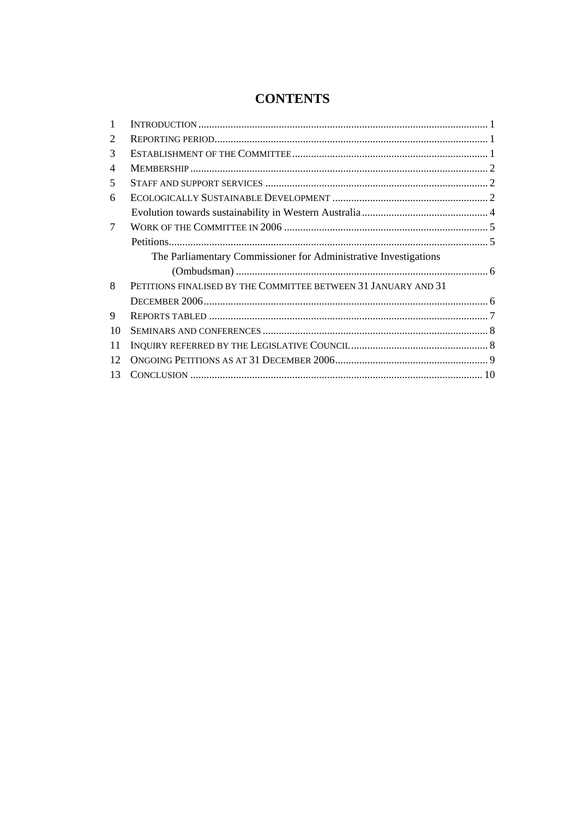## **CONTENTS**

| 1              |                                                                  |  |
|----------------|------------------------------------------------------------------|--|
| 2              |                                                                  |  |
| 3              |                                                                  |  |
| $\overline{4}$ |                                                                  |  |
| 5              |                                                                  |  |
| 6              |                                                                  |  |
|                |                                                                  |  |
| 7              |                                                                  |  |
|                |                                                                  |  |
|                | The Parliamentary Commissioner for Administrative Investigations |  |
|                |                                                                  |  |
| 8              | PETITIONS FINALISED BY THE COMMITTEE BETWEEN 31 JANUARY AND 31   |  |
|                |                                                                  |  |
| 9              |                                                                  |  |
| 10             |                                                                  |  |
| 11             |                                                                  |  |
| 12             |                                                                  |  |
| 13             |                                                                  |  |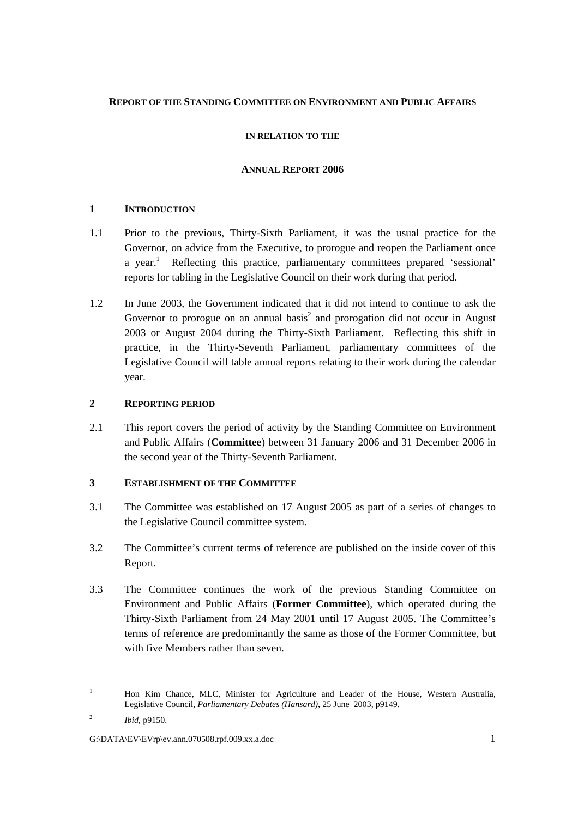## **REPORT OF THE STANDING COMMITTEE ON ENVIRONMENT AND PUBLIC AFFAIRS**

## **IN RELATION TO THE**

## **ANNUAL REPORT 2006**

## **1 INTRODUCTION**

- 1.1 Prior to the previous, Thirty-Sixth Parliament, it was the usual practice for the Governor, on advice from the Executive, to prorogue and reopen the Parliament once a year.<sup>1</sup> Reflecting this practice, parliamentary committees prepared 'sessional' reports for tabling in the Legislative Council on their work during that period.
- 1.2 In June 2003, the Government indicated that it did not intend to continue to ask the Governor to prorogue on an annual basis<sup>2</sup> and prorogation did not occur in August 2003 or August 2004 during the Thirty-Sixth Parliament. Reflecting this shift in practice, in the Thirty-Seventh Parliament, parliamentary committees of the Legislative Council will table annual reports relating to their work during the calendar year.

## **2 REPORTING PERIOD**

2.1 This report covers the period of activity by the Standing Committee on Environment and Public Affairs (**Committee**) between 31 January 2006 and 31 December 2006 in the second year of the Thirty-Seventh Parliament.

## **3 ESTABLISHMENT OF THE COMMITTEE**

- 3.1 The Committee was established on 17 August 2005 as part of a series of changes to the Legislative Council committee system.
- 3.2 The Committee's current terms of reference are published on the inside cover of this Report.
- 3.3 The Committee continues the work of the previous Standing Committee on Environment and Public Affairs (**Former Committee**), which operated during the Thirty-Sixth Parliament from 24 May 2001 until 17 August 2005. The Committee's terms of reference are predominantly the same as those of the Former Committee, but with five Members rather than seven.

<sup>1</sup> Hon Kim Chance, MLC, Minister for Agriculture and Leader of the House, Western Australia, Legislative Council, *Parliamentary Debates (Hansard)*, 25 June 2003, p9149.

 $\overline{2}$ *Ibid*, p9150.

G:\DATA\EV\EVrp\ev.ann.070508.rpf.009.xx.a.doc 1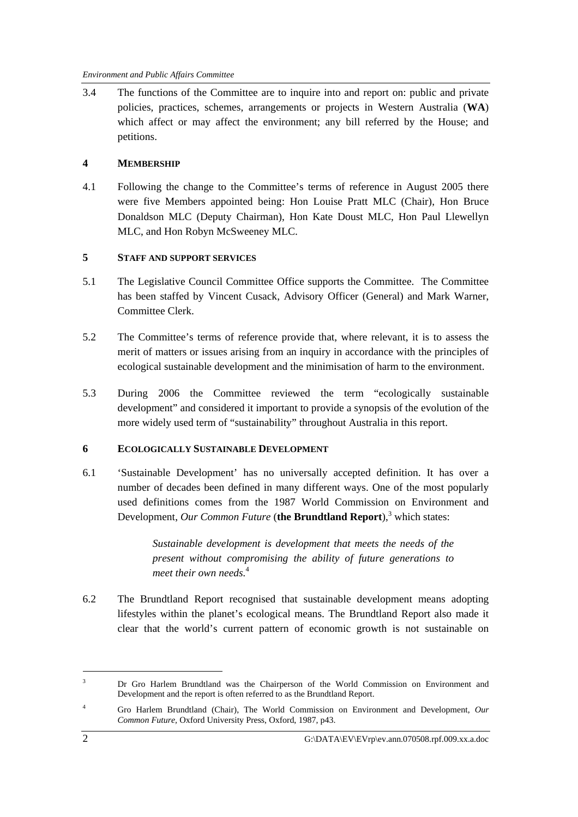3.4 The functions of the Committee are to inquire into and report on: public and private policies, practices, schemes, arrangements or projects in Western Australia (**WA**) which affect or may affect the environment; any bill referred by the House; and petitions.

## **4 MEMBERSHIP**

4.1 Following the change to the Committee's terms of reference in August 2005 there were five Members appointed being: Hon Louise Pratt MLC (Chair), Hon Bruce Donaldson MLC (Deputy Chairman), Hon Kate Doust MLC, Hon Paul Llewellyn MLC, and Hon Robyn McSweeney MLC.

## **5 STAFF AND SUPPORT SERVICES**

- 5.1 The Legislative Council Committee Office supports the Committee. The Committee has been staffed by Vincent Cusack, Advisory Officer (General) and Mark Warner, Committee Clerk.
- 5.2 The Committee's terms of reference provide that, where relevant, it is to assess the merit of matters or issues arising from an inquiry in accordance with the principles of ecological sustainable development and the minimisation of harm to the environment.
- 5.3 During 2006 the Committee reviewed the term "ecologically sustainable development" and considered it important to provide a synopsis of the evolution of the more widely used term of "sustainability" throughout Australia in this report.

### **6 ECOLOGICALLY SUSTAINABLE DEVELOPMENT**

6.1 'Sustainable Development' has no universally accepted definition. It has over a number of decades been defined in many different ways. One of the most popularly used definitions comes from the 1987 World Commission on Environment and Development, *Our Common Future* (the Brundtland Report),<sup>3</sup> which states:

> *Sustainable development is development that meets the needs of the present without compromising the ability of future generations to meet their own needs.*<sup>4</sup>

6.2 The Brundtland Report recognised that sustainable development means adopting lifestyles within the planet's ecological means. The Brundtland Report also made it clear that the world's current pattern of economic growth is not sustainable on

<sup>3</sup> Dr Gro Harlem Brundtland was the Chairperson of the World Commission on Environment and Development and the report is often referred to as the Brundtland Report.

<sup>4</sup> Gro Harlem Brundtland (Chair), The World Commission on Environment and Development, *Our Common Future,* Oxford University Press, Oxford, 1987, p43.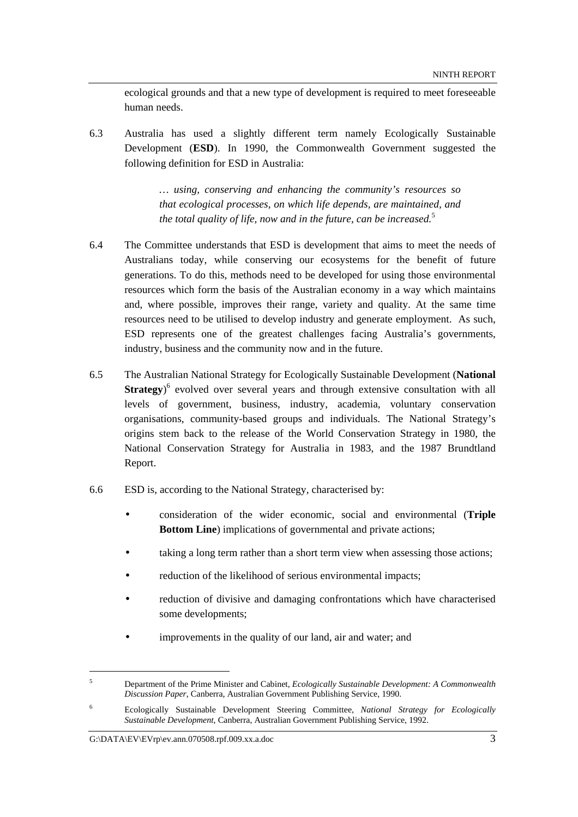ecological grounds and that a new type of development is required to meet foreseeable human needs.

6.3 Australia has used a slightly different term namely Ecologically Sustainable Development (**ESD**). In 1990, the Commonwealth Government suggested the following definition for ESD in Australia:

> *… using, conserving and enhancing the community's resources so that ecological processes, on which life depends, are maintained, and the total quality of life, now and in the future, can be increased.*<sup>5</sup>

- 6.4 The Committee understands that ESD is development that aims to meet the needs of Australians today, while conserving our ecosystems for the benefit of future generations. To do this, methods need to be developed for using those environmental resources which form the basis of the Australian economy in a way which maintains and, where possible, improves their range, variety and quality. At the same time resources need to be utilised to develop industry and generate employment. As such, ESD represents one of the greatest challenges facing Australia's governments, industry, business and the community now and in the future.
- 6.5 The Australian National Strategy for Ecologically Sustainable Development (**National Strategy**<sup>6</sup> evolved over several years and through extensive consultation with all levels of government, business, industry, academia, voluntary conservation organisations, community-based groups and individuals. The National Strategy's origins stem back to the release of the World Conservation Strategy in 1980, the National Conservation Strategy for Australia in 1983, and the 1987 Brundtland Report.
- 6.6 ESD is, according to the National Strategy, characterised by:
	- consideration of the wider economic, social and environmental (**Triple Bottom Line**) implications of governmental and private actions;
	- taking a long term rather than a short term view when assessing those actions;
	- reduction of the likelihood of serious environmental impacts;
	- reduction of divisive and damaging confrontations which have characterised some developments;
	- improvements in the quality of our land, air and water; and

<sup>5</sup> Department of the Prime Minister and Cabinet, *Ecologically Sustainable Development: A Commonwealth Discussion Paper*, Canberra, Australian Government Publishing Service, 1990.

<sup>6</sup> Ecologically Sustainable Development Steering Committee, *National Strategy for Ecologically Sustainable Development*, Canberra, Australian Government Publishing Service, 1992.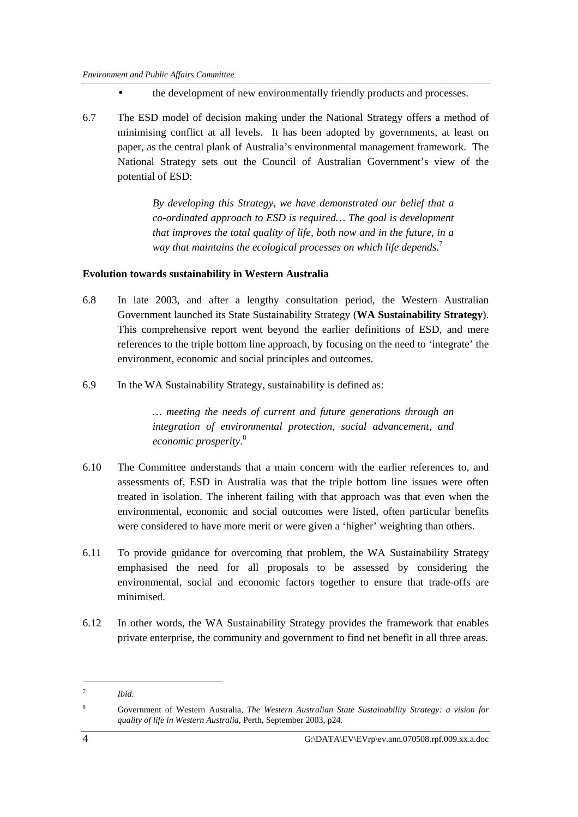- the development of new environmentally friendly products and processes.
- 6.7 The ESD model of decision making under the National Strategy offers a method of minimising conflict at all levels. It has been adopted by governments, at least on paper, as the central plank of Australia's environmental management framework. The National Strategy sets out the Council of Australian Government's view of the potential of ESD:

*By developing this Strategy, we have demonstrated our belief that a co-ordinated approach to ESD is required… The goal is development that improves the total quality of life, both now and in the future, in a way that maintains the ecological processes on which life depends.*<sup>7</sup>

## **Evolution towards sustainability in Western Australia**

- 6.8 In late 2003, and after a lengthy consultation period, the Western Australian Government launched its State Sustainability Strategy (**WA Sustainability Strategy**). This comprehensive report went beyond the earlier definitions of ESD, and mere references to the triple bottom line approach, by focusing on the need to 'integrate' the environment, economic and social principles and outcomes.
- 6.9 In the WA Sustainability Strategy, sustainability is defined as:

*… meeting the needs of current and future generations through an integration of environmental protection, social advancement, and economic prosperity*. 8

- 6.10 The Committee understands that a main concern with the earlier references to, and assessments of, ESD in Australia was that the triple bottom line issues were often treated in isolation. The inherent failing with that approach was that even when the environmental, economic and social outcomes were listed, often particular benefits were considered to have more merit or were given a 'higher' weighting than others.
- 6.11 To provide guidance for overcoming that problem, the WA Sustainability Strategy emphasised the need for all proposals to be assessed by considering the environmental, social and economic factors together to ensure that trade-offs are minimised.
- 6.12 In other words, the WA Sustainability Strategy provides the framework that enables private enterprise, the community and government to find net benefit in all three areas.

<sup>7</sup> *Ibid*.

<sup>8</sup> Government of Western Australia, *The Western Australian State Sustainability Strategy: a vision for quality of life in Western Australia,* Perth, September 2003, p24.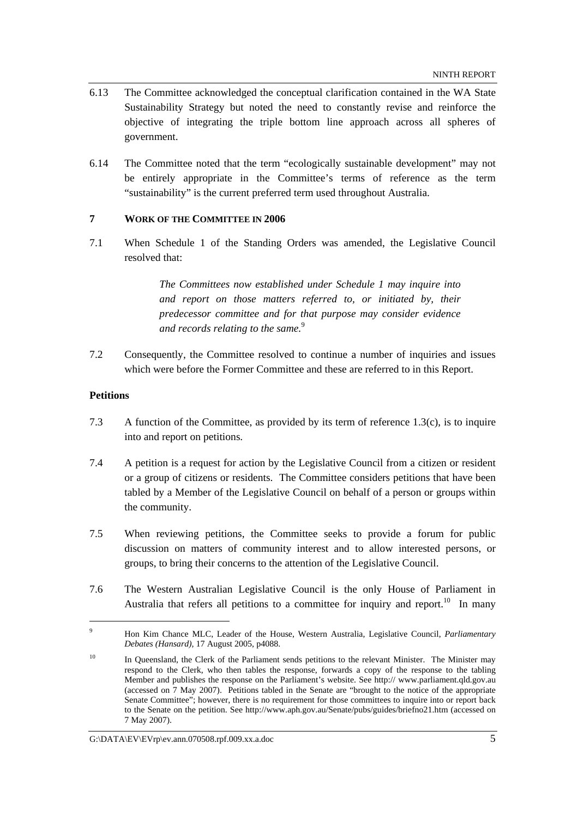- 6.13 The Committee acknowledged the conceptual clarification contained in the WA State Sustainability Strategy but noted the need to constantly revise and reinforce the objective of integrating the triple bottom line approach across all spheres of government.
- 6.14 The Committee noted that the term "ecologically sustainable development" may not be entirely appropriate in the Committee's terms of reference as the term "sustainability" is the current preferred term used throughout Australia.

## **7 WORK OF THE COMMITTEE IN 2006**

7.1 When Schedule 1 of the Standing Orders was amended, the Legislative Council resolved that:

> *The Committees now established under Schedule 1 may inquire into and report on those matters referred to, or initiated by, their predecessor committee and for that purpose may consider evidence and records relating to the same.*<sup>9</sup>

7.2 Consequently, the Committee resolved to continue a number of inquiries and issues which were before the Former Committee and these are referred to in this Report.

### **Petitions**

- 7.3 A function of the Committee, as provided by its term of reference 1.3(c), is to inquire into and report on petitions.
- 7.4 A petition is a request for action by the Legislative Council from a citizen or resident or a group of citizens or residents. The Committee considers petitions that have been tabled by a Member of the Legislative Council on behalf of a person or groups within the community.
- 7.5 When reviewing petitions, the Committee seeks to provide a forum for public discussion on matters of community interest and to allow interested persons, or groups, to bring their concerns to the attention of the Legislative Council.
- 7.6 The Western Australian Legislative Council is the only House of Parliament in Australia that refers all petitions to a committee for inquiry and report.<sup>10</sup> In many

<sup>9</sup> Hon Kim Chance MLC, Leader of the House, Western Australia, Legislative Council, *Parliamentary Debates (Hansard),* 17 August 2005, p4088.

<sup>&</sup>lt;sup>10</sup> In Queensland, the Clerk of the Parliament sends petitions to the relevant Minister. The Minister may respond to the Clerk, who then tables the response, forwards a copy of the response to the tabling Member and publishes the response on the Parliament's website. See http:// www.parliament.qld.gov.au (accessed on 7 May 2007). Petitions tabled in the Senate are "brought to the notice of the appropriate Senate Committee"; however, there is no requirement for those committees to inquire into or report back to the Senate on the petition. See http://www.aph.gov.au/Senate/pubs/guides/briefno21.htm (accessed on 7 May 2007).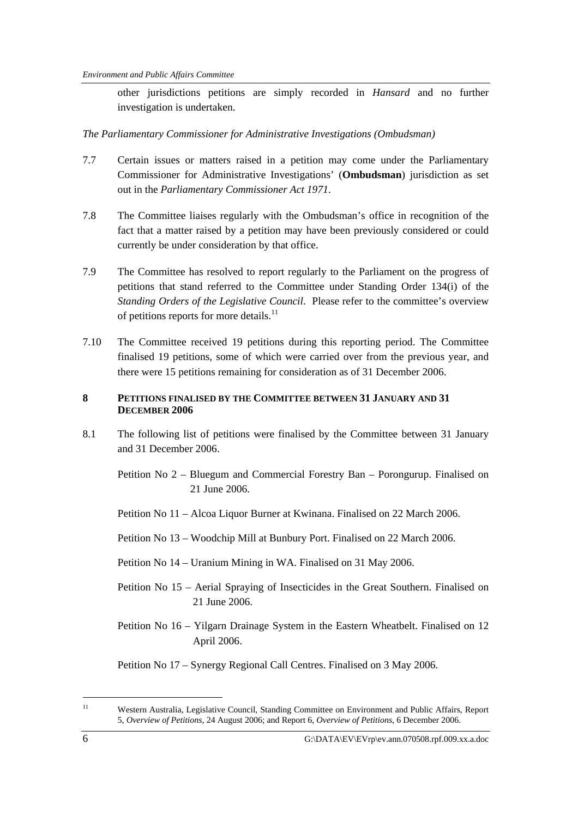other jurisdictions petitions are simply recorded in *Hansard* and no further investigation is undertaken.

*The Parliamentary Commissioner for Administrative Investigations (Ombudsman)* 

- 7.7 Certain issues or matters raised in a petition may come under the Parliamentary Commissioner for Administrative Investigations' (**Ombudsman**) jurisdiction as set out in the *Parliamentary Commissioner Act 1971*.
- 7.8 The Committee liaises regularly with the Ombudsman's office in recognition of the fact that a matter raised by a petition may have been previously considered or could currently be under consideration by that office.
- 7.9 The Committee has resolved to report regularly to the Parliament on the progress of petitions that stand referred to the Committee under Standing Order 134(i) of the *Standing Orders of the Legislative Council*. Please refer to the committee's overview of petitions reports for more details.<sup>11</sup>
- 7.10 The Committee received 19 petitions during this reporting period. The Committee finalised 19 petitions, some of which were carried over from the previous year, and there were 15 petitions remaining for consideration as of 31 December 2006.

## **8 PETITIONS FINALISED BY THE COMMITTEE BETWEEN 31 JANUARY AND 31 DECEMBER 2006**

- 8.1 The following list of petitions were finalised by the Committee between 31 January and 31 December 2006.
	- Petition No 2 Bluegum and Commercial Forestry Ban Porongurup. Finalised on 21 June 2006.
	- Petition No 11 Alcoa Liquor Burner at Kwinana. Finalised on 22 March 2006.
	- Petition No 13 Woodchip Mill at Bunbury Port. Finalised on 22 March 2006.
	- Petition No 14 Uranium Mining in WA. Finalised on 31 May 2006.
	- Petition No 15 Aerial Spraying of Insecticides in the Great Southern. Finalised on 21 June 2006.
	- Petition No 16 Yilgarn Drainage System in the Eastern Wheatbelt. Finalised on 12 April 2006.

Petition No 17 – Synergy Regional Call Centres. Finalised on 3 May 2006.

<sup>11</sup> Western Australia, Legislative Council, Standing Committee on Environment and Public Affairs, Report 5, *Overview of Petitions*, 24 August 2006; and Report 6, *Overview of Petitions*, 6 December 2006.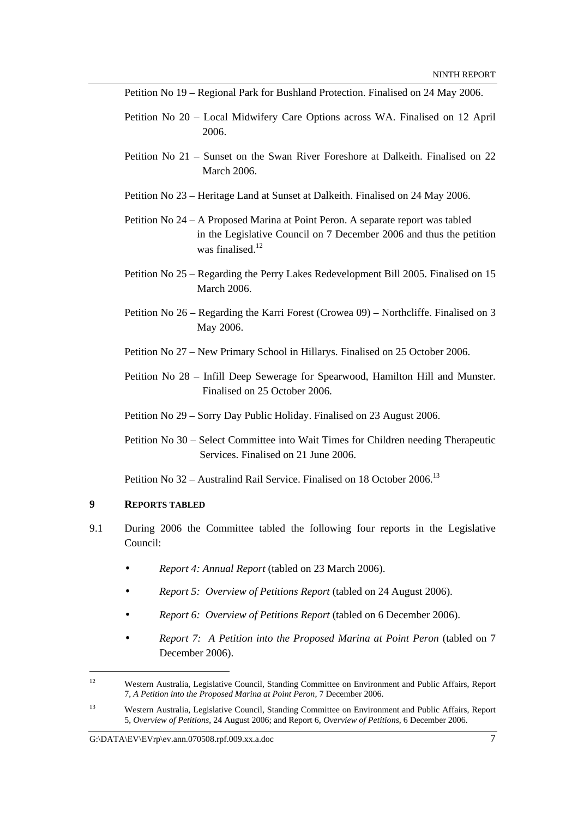Petition No 19 – Regional Park for Bushland Protection. Finalised on 24 May 2006.

- Petition No 20 Local Midwifery Care Options across WA. Finalised on 12 April 2006.
- Petition No 21 Sunset on the Swan River Foreshore at Dalkeith. Finalised on 22 March 2006.
- Petition No 23 Heritage Land at Sunset at Dalkeith. Finalised on 24 May 2006.
- Petition No 24 A Proposed Marina at Point Peron. A separate report was tabled in the Legislative Council on 7 December 2006 and thus the petition was finalised.<sup>12</sup>
- Petition No 25 Regarding the Perry Lakes Redevelopment Bill 2005. Finalised on 15 March 2006.
- Petition No 26 Regarding the Karri Forest (Crowea 09) Northcliffe. Finalised on 3 May 2006.
- Petition No 27 New Primary School in Hillarys. Finalised on 25 October 2006.
- Petition No 28 Infill Deep Sewerage for Spearwood, Hamilton Hill and Munster. Finalised on 25 October 2006.

Petition No 29 – Sorry Day Public Holiday. Finalised on 23 August 2006.

Petition No 30 – Select Committee into Wait Times for Children needing Therapeutic Services. Finalised on 21 June 2006.

Petition No 32 – Australind Rail Service. Finalised on 18 October 2006.<sup>13</sup>

#### **9 REPORTS TABLED**

- 9.1 During 2006 the Committee tabled the following four reports in the Legislative Council:
	- *Report 4: Annual Report* (tabled on 23 March 2006).
	- *Report 5: Overview of Petitions Report* (tabled on 24 August 2006).
	- *Report 6: Overview of Petitions Report* (tabled on 6 December 2006).
	- *Report 7: A Petition into the Proposed Marina at Point Peron* (tabled on 7 December 2006).

<sup>&</sup>lt;sup>12</sup> Western Australia, Legislative Council, Standing Committee on Environment and Public Affairs, Report 7, *A Petition into the Proposed Marina at Point Peron,* 7 December 2006.

<sup>13</sup> Western Australia, Legislative Council, Standing Committee on Environment and Public Affairs, Report 5, *Overview of Petitions*, 24 August 2006; and Report 6, *Overview of Petitions*, 6 December 2006.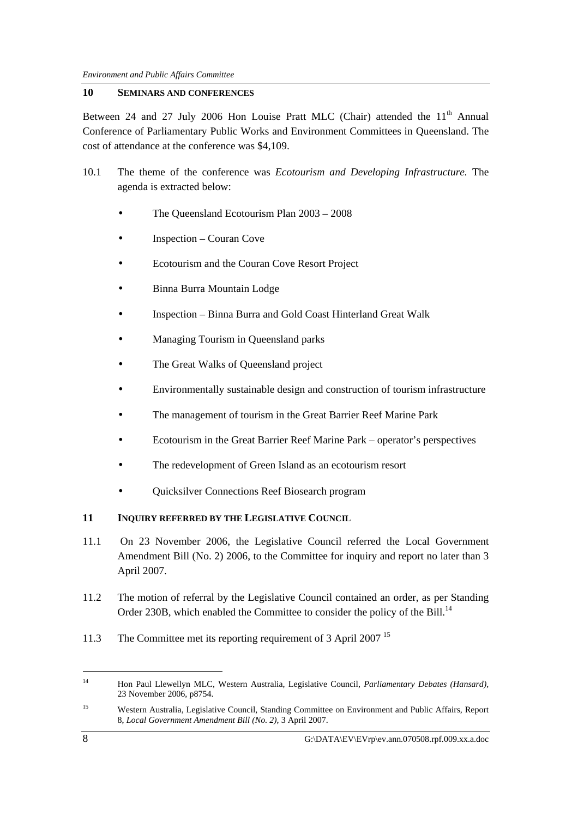## **10 SEMINARS AND CONFERENCES**

Between 24 and 27 July 2006 Hon Louise Pratt MLC (Chair) attended the  $11<sup>th</sup>$  Annual Conference of Parliamentary Public Works and Environment Committees in Queensland. The cost of attendance at the conference was \$4,109.

- 10.1 The theme of the conference was *Ecotourism and Developing Infrastructure.* The agenda is extracted below:
	- The Queensland Ecotourism Plan 2003 2008
	- Inspection Couran Cove
	- Ecotourism and the Couran Cove Resort Project
	- Binna Burra Mountain Lodge
	- Inspection Binna Burra and Gold Coast Hinterland Great Walk
	- Managing Tourism in Queensland parks
	- The Great Walks of Queensland project
	- Environmentally sustainable design and construction of tourism infrastructure
	- The management of tourism in the Great Barrier Reef Marine Park
	- Ecotourism in the Great Barrier Reef Marine Park operator's perspectives
	- The redevelopment of Green Island as an ecotourism resort
	- Quicksilver Connections Reef Biosearch program

## **11 INQUIRY REFERRED BY THE LEGISLATIVE COUNCIL**

- 11.1 On 23 November 2006, the Legislative Council referred the Local Government Amendment Bill (No. 2) 2006, to the Committee for inquiry and report no later than 3 April 2007.
- 11.2 The motion of referral by the Legislative Council contained an order, as per Standing Order 230B, which enabled the Committee to consider the policy of the Bill.<sup>14</sup>
- 11.3 The Committee met its reporting requirement of 3 April 2007<sup>15</sup>

<sup>14</sup> Hon Paul Llewellyn MLC, Western Australia, Legislative Council, *Parliamentary Debates (Hansard),*  23 November 2006, p8754.

<sup>15</sup> Western Australia, Legislative Council, Standing Committee on Environment and Public Affairs, Report 8, *Local Government Amendment Bill (No. 2),* 3 April 2007.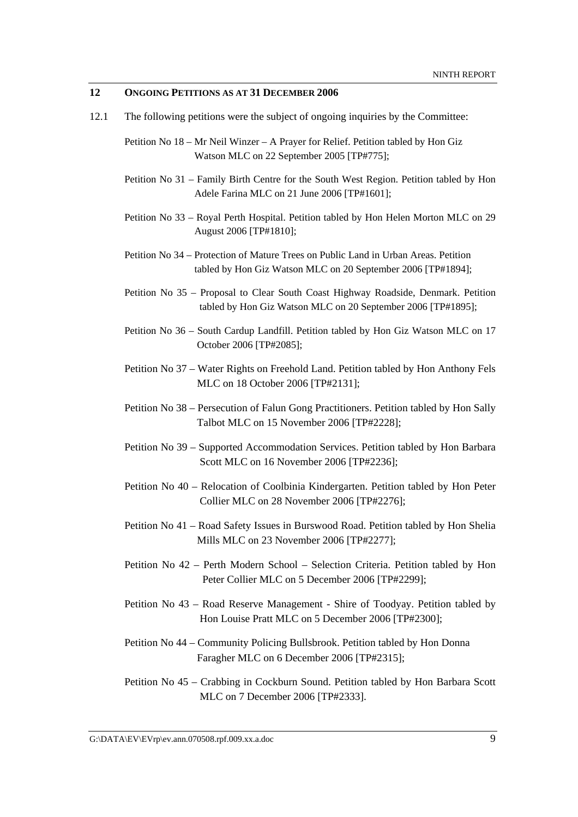## **12 ONGOING PETITIONS AS AT 31 DECEMBER 2006**

- 12.1 The following petitions were the subject of ongoing inquiries by the Committee:
	- Petition No 18 Mr Neil Winzer A Prayer for Relief. Petition tabled by Hon Giz Watson MLC on 22 September 2005 [TP#775];
	- Petition No 31 Family Birth Centre for the South West Region. Petition tabled by Hon Adele Farina MLC on 21 June 2006 [TP#1601];
	- Petition No 33 Royal Perth Hospital. Petition tabled by Hon Helen Morton MLC on 29 August 2006 [TP#1810];
	- Petition No 34 Protection of Mature Trees on Public Land in Urban Areas. Petition tabled by Hon Giz Watson MLC on 20 September 2006 [TP#1894];
	- Petition No 35 Proposal to Clear South Coast Highway Roadside, Denmark. Petition tabled by Hon Giz Watson MLC on 20 September 2006 [TP#1895];
	- Petition No 36 South Cardup Landfill. Petition tabled by Hon Giz Watson MLC on 17 October 2006 [TP#2085];
	- Petition No 37 Water Rights on Freehold Land. Petition tabled by Hon Anthony Fels MLC on 18 October 2006 [TP#2131];
	- Petition No 38 Persecution of Falun Gong Practitioners. Petition tabled by Hon Sally Talbot MLC on 15 November 2006 [TP#2228];
	- Petition No 39 Supported Accommodation Services. Petition tabled by Hon Barbara Scott MLC on 16 November 2006 [TP#2236];
	- Petition No 40 Relocation of Coolbinia Kindergarten. Petition tabled by Hon Peter Collier MLC on 28 November 2006 [TP#2276];
	- Petition No 41 Road Safety Issues in Burswood Road. Petition tabled by Hon Shelia Mills MLC on 23 November 2006 [TP#2277];
	- Petition No 42 Perth Modern School Selection Criteria. Petition tabled by Hon Peter Collier MLC on 5 December 2006 [TP#2299];
	- Petition No 43 Road Reserve Management Shire of Toodyay. Petition tabled by Hon Louise Pratt MLC on 5 December 2006 [TP#2300];
	- Petition No 44 Community Policing Bullsbrook. Petition tabled by Hon Donna Faragher MLC on 6 December 2006 [TP#2315];
	- Petition No 45 Crabbing in Cockburn Sound. Petition tabled by Hon Barbara Scott MLC on 7 December 2006 [TP#2333].